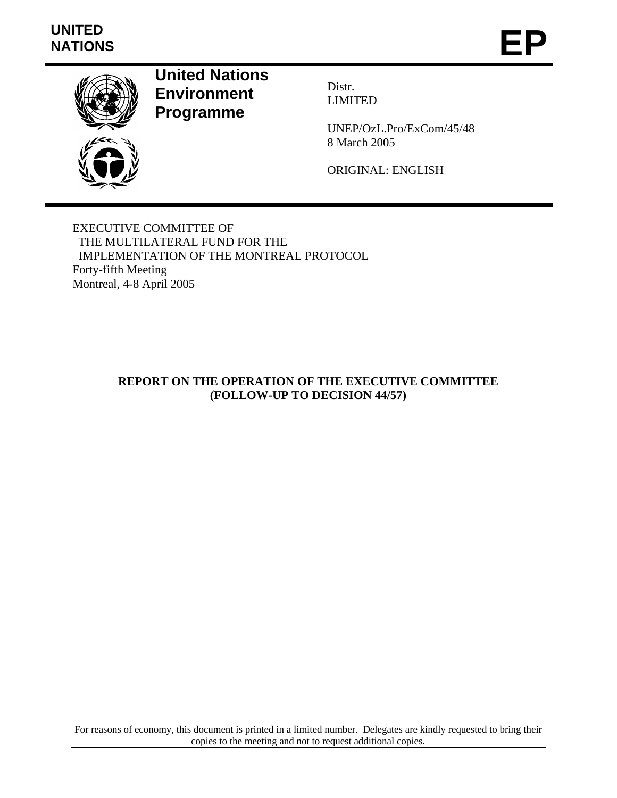# **UNITED**  UNITED<br>NATIONS **EP**



**United Nations Environment Programme** 

Distr. LIMITED

UNEP/OzL.Pro/ExCom/45/48 8 March 2005

ORIGINAL: ENGLISH

EXECUTIVE COMMITTEE OF THE MULTILATERAL FUND FOR THE IMPLEMENTATION OF THE MONTREAL PROTOCOL Forty-fifth Meeting Montreal, 4-8 April 2005

# **REPORT ON THE OPERATION OF THE EXECUTIVE COMMITTEE (FOLLOW-UP TO DECISION 44/57)**

For reasons of economy, this document is printed in a limited number. Delegates are kindly requested to bring their copies to the meeting and not to request additional copies.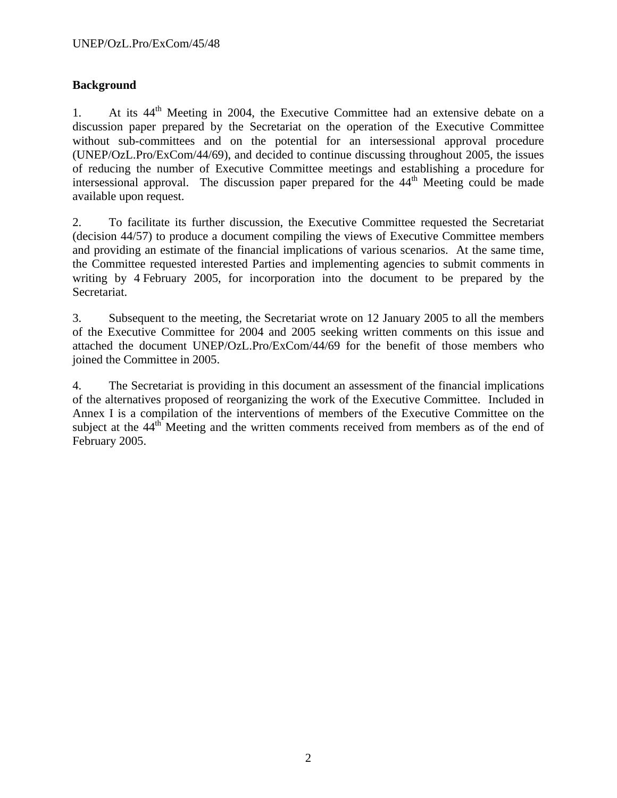# **Background**

1. At its 44<sup>th</sup> Meeting in 2004, the Executive Committee had an extensive debate on a discussion paper prepared by the Secretariat on the operation of the Executive Committee without sub-committees and on the potential for an intersessional approval procedure (UNEP/OzL.Pro/ExCom/44/69), and decided to continue discussing throughout 2005, the issues of reducing the number of Executive Committee meetings and establishing a procedure for intersessional approval. The discussion paper prepared for the  $44<sup>th</sup>$  Meeting could be made available upon request.

2. To facilitate its further discussion, the Executive Committee requested the Secretariat (decision 44/57) to produce a document compiling the views of Executive Committee members and providing an estimate of the financial implications of various scenarios. At the same time, the Committee requested interested Parties and implementing agencies to submit comments in writing by 4 February 2005, for incorporation into the document to be prepared by the Secretariat.

3. Subsequent to the meeting, the Secretariat wrote on 12 January 2005 to all the members of the Executive Committee for 2004 and 2005 seeking written comments on this issue and attached the document UNEP/OzL.Pro/ExCom/44/69 for the benefit of those members who joined the Committee in 2005.

4. The Secretariat is providing in this document an assessment of the financial implications of the alternatives proposed of reorganizing the work of the Executive Committee. Included in Annex I is a compilation of the interventions of members of the Executive Committee on the subject at the 44<sup>th</sup> Meeting and the written comments received from members as of the end of February 2005.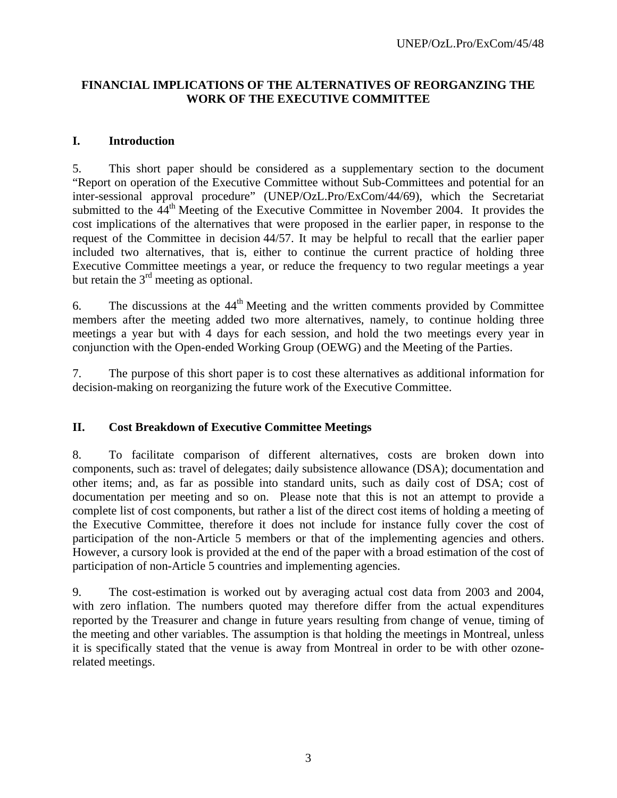# **FINANCIAL IMPLICATIONS OF THE ALTERNATIVES OF REORGANZING THE WORK OF THE EXECUTIVE COMMITTEE**

## **I. Introduction**

5. This short paper should be considered as a supplementary section to the document "Report on operation of the Executive Committee without Sub-Committees and potential for an inter-sessional approval procedure" (UNEP/OzL.Pro/ExCom/44/69), which the Secretariat submitted to the  $44<sup>th</sup>$  Meeting of the Executive Committee in November 2004. It provides the cost implications of the alternatives that were proposed in the earlier paper, in response to the request of the Committee in decision 44/57. It may be helpful to recall that the earlier paper included two alternatives, that is, either to continue the current practice of holding three Executive Committee meetings a year, or reduce the frequency to two regular meetings a year but retain the  $3<sup>rd</sup>$  meeting as optional.

6. The discussions at the  $44<sup>th</sup>$  Meeting and the written comments provided by Committee members after the meeting added two more alternatives, namely, to continue holding three meetings a year but with 4 days for each session, and hold the two meetings every year in conjunction with the Open-ended Working Group (OEWG) and the Meeting of the Parties.

7. The purpose of this short paper is to cost these alternatives as additional information for decision-making on reorganizing the future work of the Executive Committee.

# **II. Cost Breakdown of Executive Committee Meetings**

8. To facilitate comparison of different alternatives, costs are broken down into components, such as: travel of delegates; daily subsistence allowance (DSA); documentation and other items; and, as far as possible into standard units, such as daily cost of DSA; cost of documentation per meeting and so on. Please note that this is not an attempt to provide a complete list of cost components, but rather a list of the direct cost items of holding a meeting of the Executive Committee, therefore it does not include for instance fully cover the cost of participation of the non-Article 5 members or that of the implementing agencies and others. However, a cursory look is provided at the end of the paper with a broad estimation of the cost of participation of non-Article 5 countries and implementing agencies.

9. The cost-estimation is worked out by averaging actual cost data from 2003 and 2004, with zero inflation. The numbers quoted may therefore differ from the actual expenditures reported by the Treasurer and change in future years resulting from change of venue, timing of the meeting and other variables. The assumption is that holding the meetings in Montreal, unless it is specifically stated that the venue is away from Montreal in order to be with other ozonerelated meetings.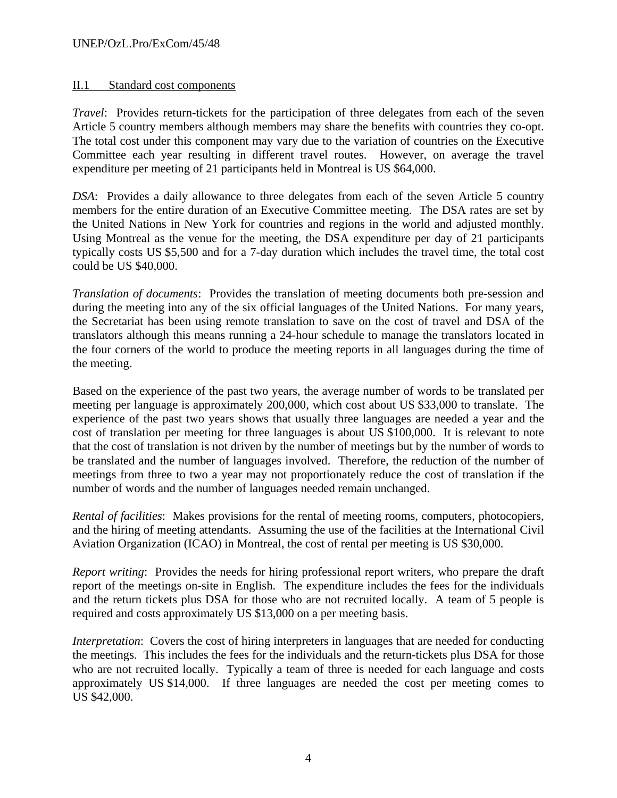## II.1 Standard cost components

*Travel*: Provides return-tickets for the participation of three delegates from each of the seven Article 5 country members although members may share the benefits with countries they co-opt. The total cost under this component may vary due to the variation of countries on the Executive Committee each year resulting in different travel routes. However, on average the travel expenditure per meeting of 21 participants held in Montreal is US \$64,000.

*DSA*: Provides a daily allowance to three delegates from each of the seven Article 5 country members for the entire duration of an Executive Committee meeting. The DSA rates are set by the United Nations in New York for countries and regions in the world and adjusted monthly. Using Montreal as the venue for the meeting, the DSA expenditure per day of 21 participants typically costs US \$5,500 and for a 7-day duration which includes the travel time, the total cost could be US \$40,000.

*Translation of documents*: Provides the translation of meeting documents both pre-session and during the meeting into any of the six official languages of the United Nations. For many years, the Secretariat has been using remote translation to save on the cost of travel and DSA of the translators although this means running a 24-hour schedule to manage the translators located in the four corners of the world to produce the meeting reports in all languages during the time of the meeting.

Based on the experience of the past two years, the average number of words to be translated per meeting per language is approximately 200,000, which cost about US \$33,000 to translate. The experience of the past two years shows that usually three languages are needed a year and the cost of translation per meeting for three languages is about US \$100,000. It is relevant to note that the cost of translation is not driven by the number of meetings but by the number of words to be translated and the number of languages involved. Therefore, the reduction of the number of meetings from three to two a year may not proportionately reduce the cost of translation if the number of words and the number of languages needed remain unchanged.

*Rental of facilities*: Makes provisions for the rental of meeting rooms, computers, photocopiers, and the hiring of meeting attendants. Assuming the use of the facilities at the International Civil Aviation Organization (ICAO) in Montreal, the cost of rental per meeting is US \$30,000.

*Report writing*: Provides the needs for hiring professional report writers, who prepare the draft report of the meetings on-site in English. The expenditure includes the fees for the individuals and the return tickets plus DSA for those who are not recruited locally. A team of 5 people is required and costs approximately US \$13,000 on a per meeting basis.

*Interpretation*: Covers the cost of hiring interpreters in languages that are needed for conducting the meetings. This includes the fees for the individuals and the return-tickets plus DSA for those who are not recruited locally. Typically a team of three is needed for each language and costs approximately US \$14,000. If three languages are needed the cost per meeting comes to US \$42,000.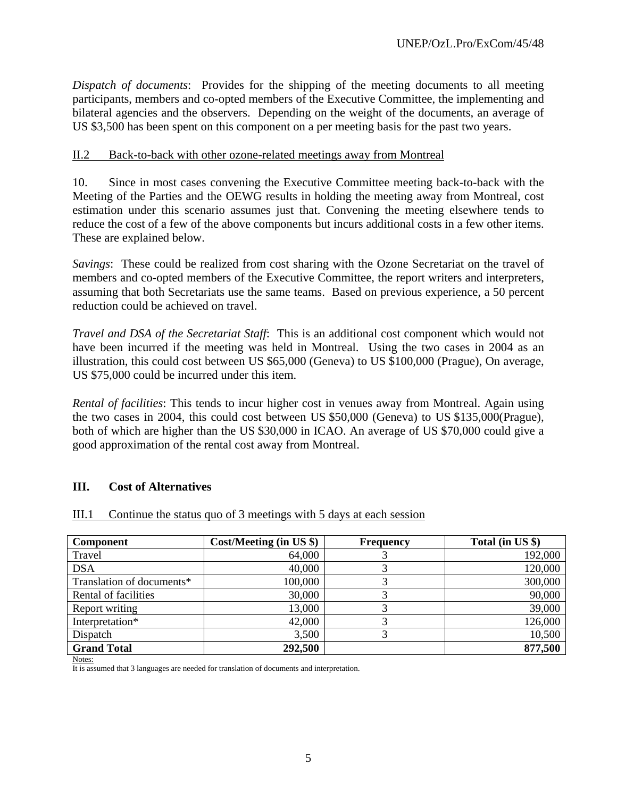*Dispatch of documents*: Provides for the shipping of the meeting documents to all meeting participants, members and co-opted members of the Executive Committee, the implementing and bilateral agencies and the observers. Depending on the weight of the documents, an average of US \$3,500 has been spent on this component on a per meeting basis for the past two years.

## II.2 Back-to-back with other ozone-related meetings away from Montreal

10. Since in most cases convening the Executive Committee meeting back-to-back with the Meeting of the Parties and the OEWG results in holding the meeting away from Montreal, cost estimation under this scenario assumes just that. Convening the meeting elsewhere tends to reduce the cost of a few of the above components but incurs additional costs in a few other items. These are explained below.

*Savings*: These could be realized from cost sharing with the Ozone Secretariat on the travel of members and co-opted members of the Executive Committee, the report writers and interpreters, assuming that both Secretariats use the same teams. Based on previous experience, a 50 percent reduction could be achieved on travel.

*Travel and DSA of the Secretariat Staff*: This is an additional cost component which would not have been incurred if the meeting was held in Montreal. Using the two cases in 2004 as an illustration, this could cost between US \$65,000 (Geneva) to US \$100,000 (Prague), On average, US \$75,000 could be incurred under this item.

*Rental of facilities*: This tends to incur higher cost in venues away from Montreal. Again using the two cases in 2004, this could cost between US \$50,000 (Geneva) to US \$135,000(Prague), both of which are higher than the US \$30,000 in ICAO. An average of US \$70,000 could give a good approximation of the rental cost away from Montreal.

## **III. Cost of Alternatives**

|  | III.1 | Continue the status quo of 3 meetings with 5 days at each session |  |  |  |
|--|-------|-------------------------------------------------------------------|--|--|--|
|--|-------|-------------------------------------------------------------------|--|--|--|

| <b>Component</b>          | $Cost/ Meeting$ (in US $\})$ | <b>Frequency</b> | Total (in US \$) |
|---------------------------|------------------------------|------------------|------------------|
| Travel                    | 64,000                       |                  | 192,000          |
| <b>DSA</b>                | 40,000                       |                  | 120,000          |
| Translation of documents* | 100,000                      |                  | 300,000          |
| Rental of facilities      | 30,000                       |                  | 90,000           |
| Report writing            | 13,000                       |                  | 39,000           |
| Interpretation*           | 42,000                       |                  | 126,000          |
| Dispatch                  | 3,500                        |                  | 10,500           |
| <b>Grand Total</b>        | 292,500                      |                  | 877,500          |

Notes:

It is assumed that 3 languages are needed for translation of documents and interpretation.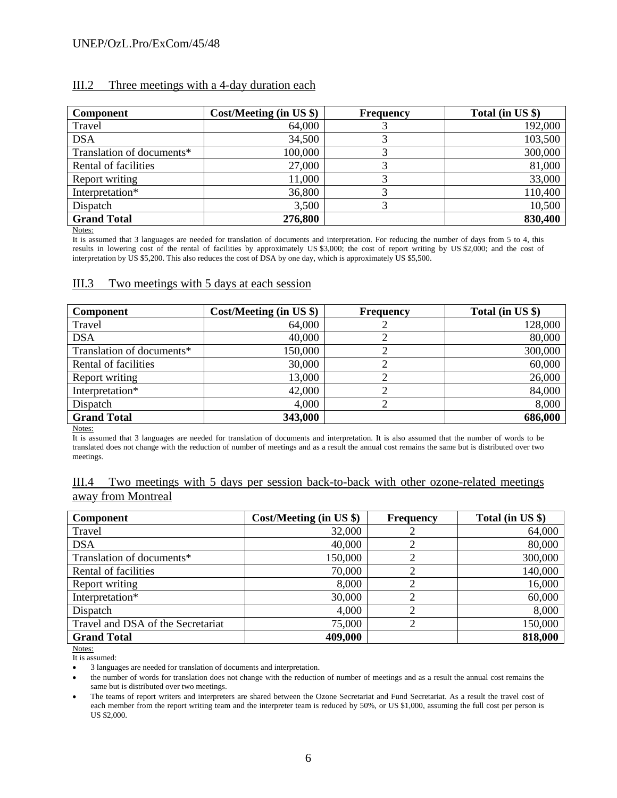#### III.2 Three meetings with a 4-day duration each

| <b>Component</b>          | $Cost/ Meeting$ (in US $\})$ ) | <b>Frequency</b> | Total (in US \$) |
|---------------------------|--------------------------------|------------------|------------------|
| Travel                    | 64,000                         |                  | 192,000          |
| <b>DSA</b>                | 34,500                         |                  | 103,500          |
| Translation of documents* | 100,000                        |                  | 300,000          |
| Rental of facilities      | 27,000                         |                  | 81,000           |
| Report writing            | 11,000                         |                  | 33,000           |
| Interpretation*           | 36,800                         |                  | 110,400          |
| Dispatch                  | 3,500                          |                  | 10,500           |
| <b>Grand Total</b>        | 276,800                        |                  | 830,400          |

Notes:

It is assumed that 3 languages are needed for translation of documents and interpretation. For reducing the number of days from 5 to 4, this results in lowering cost of the rental of facilities by approximately US \$3,000; the cost of report writing by US \$2,000; and the cost of interpretation by US \$5,200. This also reduces the cost of DSA by one day, which is approximately US \$5,500.

#### III.3 Two meetings with 5 days at each session

| <b>Component</b>          | Cost/Meeting (in US \$) | <b>Frequency</b> | Total (in US \$) |
|---------------------------|-------------------------|------------------|------------------|
| Travel                    | 64,000                  |                  | 128,000          |
| <b>DSA</b>                | 40,000                  |                  | 80,000           |
| Translation of documents* | 150,000                 |                  | 300,000          |
| Rental of facilities      | 30,000                  |                  | 60,000           |
| Report writing            | 13,000                  |                  | 26,000           |
| Interpretation*           | 42,000                  |                  | 84,000           |
| Dispatch                  | 4,000                   |                  | 8,000            |
| <b>Grand Total</b>        | 343,000                 |                  | 686,000          |

Notes:

It is assumed that 3 languages are needed for translation of documents and interpretation. It is also assumed that the number of words to be translated does not change with the reduction of number of meetings and as a result the annual cost remains the same but is distributed over two meetings.

#### III.4 Two meetings with 5 days per session back-to-back with other ozone-related meetings away from Montreal

| <b>Component</b>                  | $Cost/ Meeting$ (in US $\})$ | <b>Frequency</b> | Total (in US \$) |
|-----------------------------------|------------------------------|------------------|------------------|
| Travel                            | 32,000                       |                  | 64,000           |
| <b>DSA</b>                        | 40,000                       |                  | 80,000           |
| Translation of documents*         | 150,000                      | 2                | 300,000          |
| Rental of facilities              | 70,000                       |                  | 140,000          |
| Report writing                    | 8,000                        |                  | 16,000           |
| Interpretation*                   | 30,000                       |                  | 60,000           |
| Dispatch                          | 4,000                        |                  | 8,000            |
| Travel and DSA of the Secretariat | 75,000                       | 2                | 150,000          |
| <b>Grand Total</b>                | 409,000                      |                  | 818,000          |

Notes:

It is assumed:

• 3 languages are needed for translation of documents and interpretation.

the number of words for translation does not change with the reduction of number of meetings and as a result the annual cost remains the same but is distributed over two meetings.

• The teams of report writers and interpreters are shared between the Ozone Secretariat and Fund Secretariat. As a result the travel cost of each member from the report writing team and the interpreter team is reduced by 50%, or US \$1,000, assuming the full cost per person is US \$2,000.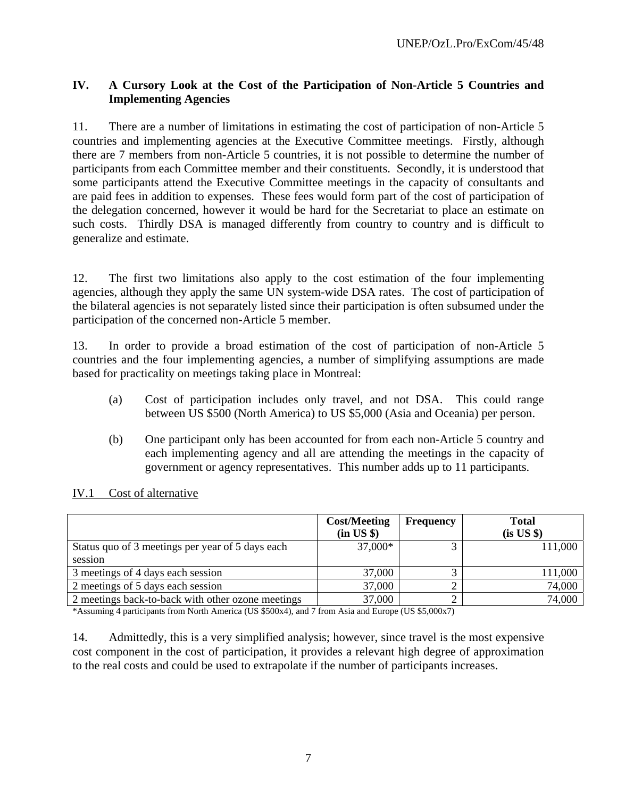# **IV. A Cursory Look at the Cost of the Participation of Non-Article 5 Countries and Implementing Agencies**

11. There are a number of limitations in estimating the cost of participation of non-Article 5 countries and implementing agencies at the Executive Committee meetings. Firstly, although there are 7 members from non-Article 5 countries, it is not possible to determine the number of participants from each Committee member and their constituents. Secondly, it is understood that some participants attend the Executive Committee meetings in the capacity of consultants and are paid fees in addition to expenses. These fees would form part of the cost of participation of the delegation concerned, however it would be hard for the Secretariat to place an estimate on such costs. Thirdly DSA is managed differently from country to country and is difficult to generalize and estimate.

12. The first two limitations also apply to the cost estimation of the four implementing agencies, although they apply the same UN system-wide DSA rates. The cost of participation of the bilateral agencies is not separately listed since their participation is often subsumed under the participation of the concerned non-Article 5 member.

13. In order to provide a broad estimation of the cost of participation of non-Article 5 countries and the four implementing agencies, a number of simplifying assumptions are made based for practicality on meetings taking place in Montreal:

- (a) Cost of participation includes only travel, and not DSA. This could range between US \$500 (North America) to US \$5,000 (Asia and Oceania) per person.
- (b) One participant only has been accounted for from each non-Article 5 country and each implementing agency and all are attending the meetings in the capacity of government or agency representatives. This number adds up to 11 participants.

|                                                   | <b>Cost/Meeting</b><br>(in US \$) | <b>Frequency</b> | <b>Total</b><br>$(is\;US\;\$)$ |
|---------------------------------------------------|-----------------------------------|------------------|--------------------------------|
| Status quo of 3 meetings per year of 5 days each  | 37,000*                           |                  | 111,000                        |
| session                                           |                                   |                  |                                |
| 3 meetings of 4 days each session                 | 37,000                            |                  | 111,000                        |
| 2 meetings of 5 days each session                 | 37,000                            |                  | 74,000                         |
| 2 meetings back-to-back with other ozone meetings | 37,000                            |                  | 74,000                         |

# IV.1 Cost of alternative

\*Assuming 4 participants from North America (US \$500x4), and 7 from Asia and Europe (US \$5,000x7)

14. Admittedly, this is a very simplified analysis; however, since travel is the most expensive cost component in the cost of participation, it provides a relevant high degree of approximation to the real costs and could be used to extrapolate if the number of participants increases.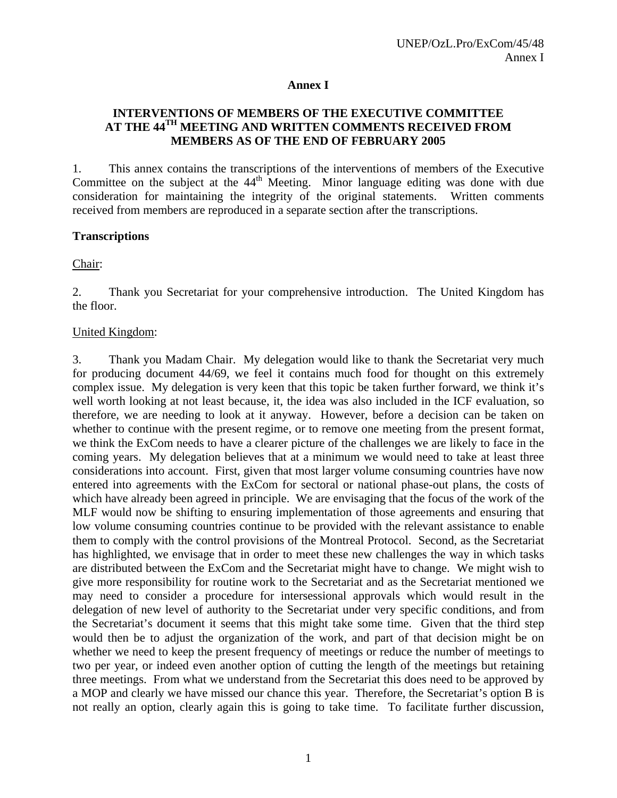## **Annex I**

# **INTERVENTIONS OF MEMBERS OF THE EXECUTIVE COMMITTEE AT THE 44TH MEETING AND WRITTEN COMMENTS RECEIVED FROM MEMBERS AS OF THE END OF FEBRUARY 2005**

1. This annex contains the transcriptions of the interventions of members of the Executive Committee on the subject at the  $44<sup>th</sup>$  Meeting. Minor language editing was done with due consideration for maintaining the integrity of the original statements. Written comments received from members are reproduced in a separate section after the transcriptions.

## **Transcriptions**

Chair:

2. Thank you Secretariat for your comprehensive introduction. The United Kingdom has the floor.

## United Kingdom:

3. Thank you Madam Chair. My delegation would like to thank the Secretariat very much for producing document 44/69, we feel it contains much food for thought on this extremely complex issue. My delegation is very keen that this topic be taken further forward, we think it's well worth looking at not least because, it, the idea was also included in the ICF evaluation, so therefore, we are needing to look at it anyway. However, before a decision can be taken on whether to continue with the present regime, or to remove one meeting from the present format, we think the ExCom needs to have a clearer picture of the challenges we are likely to face in the coming years. My delegation believes that at a minimum we would need to take at least three considerations into account. First, given that most larger volume consuming countries have now entered into agreements with the ExCom for sectoral or national phase-out plans, the costs of which have already been agreed in principle. We are envisaging that the focus of the work of the MLF would now be shifting to ensuring implementation of those agreements and ensuring that low volume consuming countries continue to be provided with the relevant assistance to enable them to comply with the control provisions of the Montreal Protocol. Second, as the Secretariat has highlighted, we envisage that in order to meet these new challenges the way in which tasks are distributed between the ExCom and the Secretariat might have to change. We might wish to give more responsibility for routine work to the Secretariat and as the Secretariat mentioned we may need to consider a procedure for intersessional approvals which would result in the delegation of new level of authority to the Secretariat under very specific conditions, and from the Secretariat's document it seems that this might take some time. Given that the third step would then be to adjust the organization of the work, and part of that decision might be on whether we need to keep the present frequency of meetings or reduce the number of meetings to two per year, or indeed even another option of cutting the length of the meetings but retaining three meetings. From what we understand from the Secretariat this does need to be approved by a MOP and clearly we have missed our chance this year. Therefore, the Secretariat's option B is not really an option, clearly again this is going to take time. To facilitate further discussion,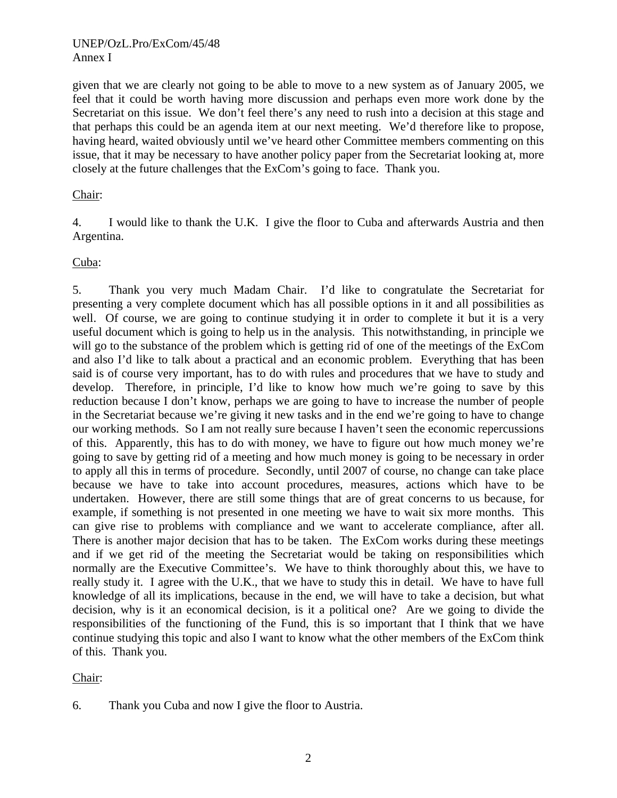given that we are clearly not going to be able to move to a new system as of January 2005, we feel that it could be worth having more discussion and perhaps even more work done by the Secretariat on this issue. We don't feel there's any need to rush into a decision at this stage and that perhaps this could be an agenda item at our next meeting. We'd therefore like to propose, having heard, waited obviously until we've heard other Committee members commenting on this issue, that it may be necessary to have another policy paper from the Secretariat looking at, more closely at the future challenges that the ExCom's going to face. Thank you.

## Chair:

4. I would like to thank the U.K. I give the floor to Cuba and afterwards Austria and then Argentina.

Cuba:

5. Thank you very much Madam Chair. I'd like to congratulate the Secretariat for presenting a very complete document which has all possible options in it and all possibilities as well. Of course, we are going to continue studying it in order to complete it but it is a very useful document which is going to help us in the analysis. This notwithstanding, in principle we will go to the substance of the problem which is getting rid of one of the meetings of the ExCom and also I'd like to talk about a practical and an economic problem. Everything that has been said is of course very important, has to do with rules and procedures that we have to study and develop. Therefore, in principle, I'd like to know how much we're going to save by this reduction because I don't know, perhaps we are going to have to increase the number of people in the Secretariat because we're giving it new tasks and in the end we're going to have to change our working methods. So I am not really sure because I haven't seen the economic repercussions of this. Apparently, this has to do with money, we have to figure out how much money we're going to save by getting rid of a meeting and how much money is going to be necessary in order to apply all this in terms of procedure. Secondly, until 2007 of course, no change can take place because we have to take into account procedures, measures, actions which have to be undertaken. However, there are still some things that are of great concerns to us because, for example, if something is not presented in one meeting we have to wait six more months. This can give rise to problems with compliance and we want to accelerate compliance, after all. There is another major decision that has to be taken. The ExCom works during these meetings and if we get rid of the meeting the Secretariat would be taking on responsibilities which normally are the Executive Committee's. We have to think thoroughly about this, we have to really study it. I agree with the U.K., that we have to study this in detail. We have to have full knowledge of all its implications, because in the end, we will have to take a decision, but what decision, why is it an economical decision, is it a political one? Are we going to divide the responsibilities of the functioning of the Fund, this is so important that I think that we have continue studying this topic and also I want to know what the other members of the ExCom think of this. Thank you.

Chair:

<sup>6.</sup> Thank you Cuba and now I give the floor to Austria.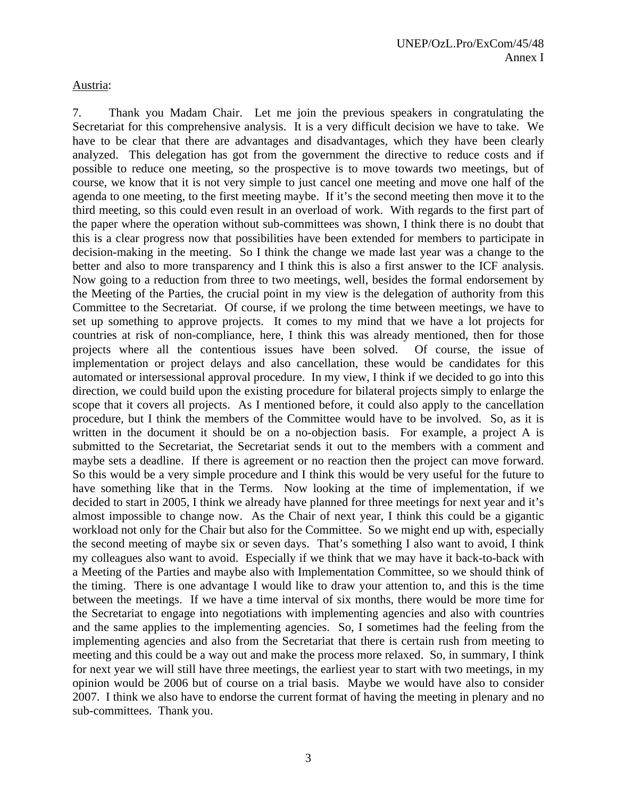Austria:

7. Thank you Madam Chair. Let me join the previous speakers in congratulating the Secretariat for this comprehensive analysis. It is a very difficult decision we have to take. We have to be clear that there are advantages and disadvantages, which they have been clearly analyzed. This delegation has got from the government the directive to reduce costs and if possible to reduce one meeting, so the prospective is to move towards two meetings, but of course, we know that it is not very simple to just cancel one meeting and move one half of the agenda to one meeting, to the first meeting maybe. If it's the second meeting then move it to the third meeting, so this could even result in an overload of work. With regards to the first part of the paper where the operation without sub-committees was shown, I think there is no doubt that this is a clear progress now that possibilities have been extended for members to participate in decision-making in the meeting. So I think the change we made last year was a change to the better and also to more transparency and I think this is also a first answer to the ICF analysis. Now going to a reduction from three to two meetings, well, besides the formal endorsement by the Meeting of the Parties, the crucial point in my view is the delegation of authority from this Committee to the Secretariat. Of course, if we prolong the time between meetings, we have to set up something to approve projects. It comes to my mind that we have a lot projects for countries at risk of non-compliance, here, I think this was already mentioned, then for those projects where all the contentious issues have been solved. Of course, the issue of implementation or project delays and also cancellation, these would be candidates for this automated or intersessional approval procedure. In my view, I think if we decided to go into this direction, we could build upon the existing procedure for bilateral projects simply to enlarge the scope that it covers all projects. As I mentioned before, it could also apply to the cancellation procedure, but I think the members of the Committee would have to be involved. So, as it is written in the document it should be on a no-objection basis. For example, a project A is submitted to the Secretariat, the Secretariat sends it out to the members with a comment and maybe sets a deadline. If there is agreement or no reaction then the project can move forward. So this would be a very simple procedure and I think this would be very useful for the future to have something like that in the Terms. Now looking at the time of implementation, if we decided to start in 2005, I think we already have planned for three meetings for next year and it's almost impossible to change now. As the Chair of next year, I think this could be a gigantic workload not only for the Chair but also for the Committee. So we might end up with, especially the second meeting of maybe six or seven days. That's something I also want to avoid, I think my colleagues also want to avoid. Especially if we think that we may have it back-to-back with a Meeting of the Parties and maybe also with Implementation Committee, so we should think of the timing. There is one advantage I would like to draw your attention to, and this is the time between the meetings. If we have a time interval of six months, there would be more time for the Secretariat to engage into negotiations with implementing agencies and also with countries and the same applies to the implementing agencies. So, I sometimes had the feeling from the implementing agencies and also from the Secretariat that there is certain rush from meeting to meeting and this could be a way out and make the process more relaxed. So, in summary, I think for next year we will still have three meetings, the earliest year to start with two meetings, in my opinion would be 2006 but of course on a trial basis. Maybe we would have also to consider 2007. I think we also have to endorse the current format of having the meeting in plenary and no sub-committees. Thank you.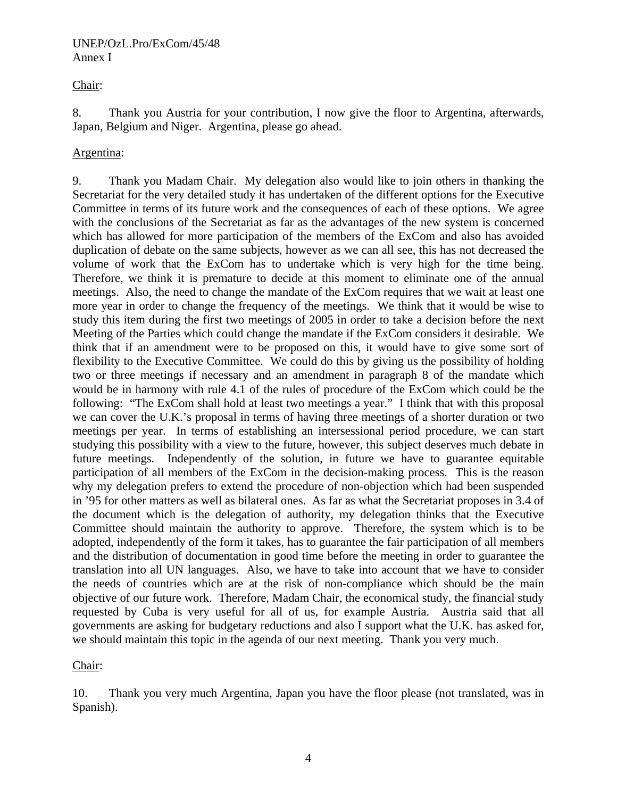## Chair:

8. Thank you Austria for your contribution, I now give the floor to Argentina, afterwards, Japan, Belgium and Niger. Argentina, please go ahead.

## Argentina:

9. Thank you Madam Chair. My delegation also would like to join others in thanking the Secretariat for the very detailed study it has undertaken of the different options for the Executive Committee in terms of its future work and the consequences of each of these options. We agree with the conclusions of the Secretariat as far as the advantages of the new system is concerned which has allowed for more participation of the members of the ExCom and also has avoided duplication of debate on the same subjects, however as we can all see, this has not decreased the volume of work that the ExCom has to undertake which is very high for the time being. Therefore, we think it is premature to decide at this moment to eliminate one of the annual meetings. Also, the need to change the mandate of the ExCom requires that we wait at least one more year in order to change the frequency of the meetings. We think that it would be wise to study this item during the first two meetings of 2005 in order to take a decision before the next Meeting of the Parties which could change the mandate if the ExCom considers it desirable. We think that if an amendment were to be proposed on this, it would have to give some sort of flexibility to the Executive Committee. We could do this by giving us the possibility of holding two or three meetings if necessary and an amendment in paragraph 8 of the mandate which would be in harmony with rule 4.1 of the rules of procedure of the ExCom which could be the following: "The ExCom shall hold at least two meetings a year." I think that with this proposal we can cover the U.K.'s proposal in terms of having three meetings of a shorter duration or two meetings per year. In terms of establishing an intersessional period procedure, we can start studying this possibility with a view to the future, however, this subject deserves much debate in future meetings. Independently of the solution, in future we have to guarantee equitable participation of all members of the ExCom in the decision-making process. This is the reason why my delegation prefers to extend the procedure of non-objection which had been suspended in '95 for other matters as well as bilateral ones. As far as what the Secretariat proposes in 3.4 of the document which is the delegation of authority, my delegation thinks that the Executive Committee should maintain the authority to approve. Therefore, the system which is to be adopted, independently of the form it takes, has to guarantee the fair participation of all members and the distribution of documentation in good time before the meeting in order to guarantee the translation into all UN languages. Also, we have to take into account that we have to consider the needs of countries which are at the risk of non-compliance which should be the main objective of our future work. Therefore, Madam Chair, the economical study, the financial study requested by Cuba is very useful for all of us, for example Austria. Austria said that all governments are asking for budgetary reductions and also I support what the U.K. has asked for, we should maintain this topic in the agenda of our next meeting. Thank you very much.

## Chair:

10. Thank you very much Argentina, Japan you have the floor please (not translated, was in Spanish).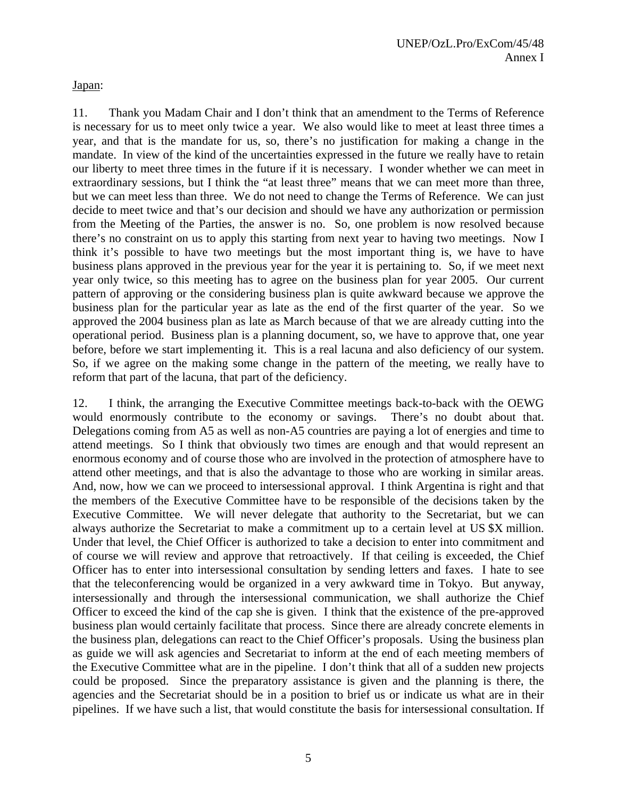Japan:

11. Thank you Madam Chair and I don't think that an amendment to the Terms of Reference is necessary for us to meet only twice a year. We also would like to meet at least three times a year, and that is the mandate for us, so, there's no justification for making a change in the mandate. In view of the kind of the uncertainties expressed in the future we really have to retain our liberty to meet three times in the future if it is necessary. I wonder whether we can meet in extraordinary sessions, but I think the "at least three" means that we can meet more than three, but we can meet less than three. We do not need to change the Terms of Reference. We can just decide to meet twice and that's our decision and should we have any authorization or permission from the Meeting of the Parties, the answer is no. So, one problem is now resolved because there's no constraint on us to apply this starting from next year to having two meetings. Now I think it's possible to have two meetings but the most important thing is, we have to have business plans approved in the previous year for the year it is pertaining to. So, if we meet next year only twice, so this meeting has to agree on the business plan for year 2005. Our current pattern of approving or the considering business plan is quite awkward because we approve the business plan for the particular year as late as the end of the first quarter of the year. So we approved the 2004 business plan as late as March because of that we are already cutting into the operational period. Business plan is a planning document, so, we have to approve that, one year before, before we start implementing it. This is a real lacuna and also deficiency of our system. So, if we agree on the making some change in the pattern of the meeting, we really have to reform that part of the lacuna, that part of the deficiency.

12. I think, the arranging the Executive Committee meetings back-to-back with the OEWG would enormously contribute to the economy or savings. There's no doubt about that. Delegations coming from A5 as well as non-A5 countries are paying a lot of energies and time to attend meetings. So I think that obviously two times are enough and that would represent an enormous economy and of course those who are involved in the protection of atmosphere have to attend other meetings, and that is also the advantage to those who are working in similar areas. And, now, how we can we proceed to intersessional approval. I think Argentina is right and that the members of the Executive Committee have to be responsible of the decisions taken by the Executive Committee. We will never delegate that authority to the Secretariat, but we can always authorize the Secretariat to make a commitment up to a certain level at US \$X million. Under that level, the Chief Officer is authorized to take a decision to enter into commitment and of course we will review and approve that retroactively. If that ceiling is exceeded, the Chief Officer has to enter into intersessional consultation by sending letters and faxes. I hate to see that the teleconferencing would be organized in a very awkward time in Tokyo. But anyway, intersessionally and through the intersessional communication, we shall authorize the Chief Officer to exceed the kind of the cap she is given. I think that the existence of the pre-approved business plan would certainly facilitate that process. Since there are already concrete elements in the business plan, delegations can react to the Chief Officer's proposals. Using the business plan as guide we will ask agencies and Secretariat to inform at the end of each meeting members of the Executive Committee what are in the pipeline. I don't think that all of a sudden new projects could be proposed. Since the preparatory assistance is given and the planning is there, the agencies and the Secretariat should be in a position to brief us or indicate us what are in their pipelines. If we have such a list, that would constitute the basis for intersessional consultation. If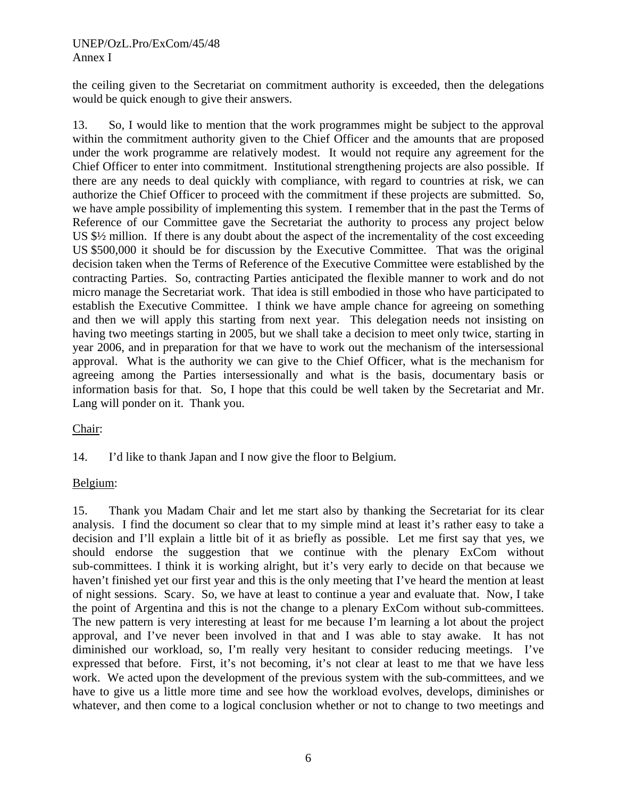the ceiling given to the Secretariat on commitment authority is exceeded, then the delegations would be quick enough to give their answers.

13. So, I would like to mention that the work programmes might be subject to the approval within the commitment authority given to the Chief Officer and the amounts that are proposed under the work programme are relatively modest. It would not require any agreement for the Chief Officer to enter into commitment. Institutional strengthening projects are also possible. If there are any needs to deal quickly with compliance, with regard to countries at risk, we can authorize the Chief Officer to proceed with the commitment if these projects are submitted. So, we have ample possibility of implementing this system. I remember that in the past the Terms of Reference of our Committee gave the Secretariat the authority to process any project below US \$½ million. If there is any doubt about the aspect of the incrementality of the cost exceeding US \$500,000 it should be for discussion by the Executive Committee. That was the original decision taken when the Terms of Reference of the Executive Committee were established by the contracting Parties. So, contracting Parties anticipated the flexible manner to work and do not micro manage the Secretariat work. That idea is still embodied in those who have participated to establish the Executive Committee. I think we have ample chance for agreeing on something and then we will apply this starting from next year. This delegation needs not insisting on having two meetings starting in 2005, but we shall take a decision to meet only twice, starting in year 2006, and in preparation for that we have to work out the mechanism of the intersessional approval. What is the authority we can give to the Chief Officer, what is the mechanism for agreeing among the Parties intersessionally and what is the basis, documentary basis or information basis for that. So, I hope that this could be well taken by the Secretariat and Mr. Lang will ponder on it. Thank you.

# Chair:

14. I'd like to thank Japan and I now give the floor to Belgium.

# Belgium:

15. Thank you Madam Chair and let me start also by thanking the Secretariat for its clear analysis. I find the document so clear that to my simple mind at least it's rather easy to take a decision and I'll explain a little bit of it as briefly as possible. Let me first say that yes, we should endorse the suggestion that we continue with the plenary ExCom without sub-committees. I think it is working alright, but it's very early to decide on that because we haven't finished yet our first year and this is the only meeting that I've heard the mention at least of night sessions. Scary. So, we have at least to continue a year and evaluate that. Now, I take the point of Argentina and this is not the change to a plenary ExCom without sub-committees. The new pattern is very interesting at least for me because I'm learning a lot about the project approval, and I've never been involved in that and I was able to stay awake. It has not diminished our workload, so, I'm really very hesitant to consider reducing meetings. I've expressed that before. First, it's not becoming, it's not clear at least to me that we have less work. We acted upon the development of the previous system with the sub-committees, and we have to give us a little more time and see how the workload evolves, develops, diminishes or whatever, and then come to a logical conclusion whether or not to change to two meetings and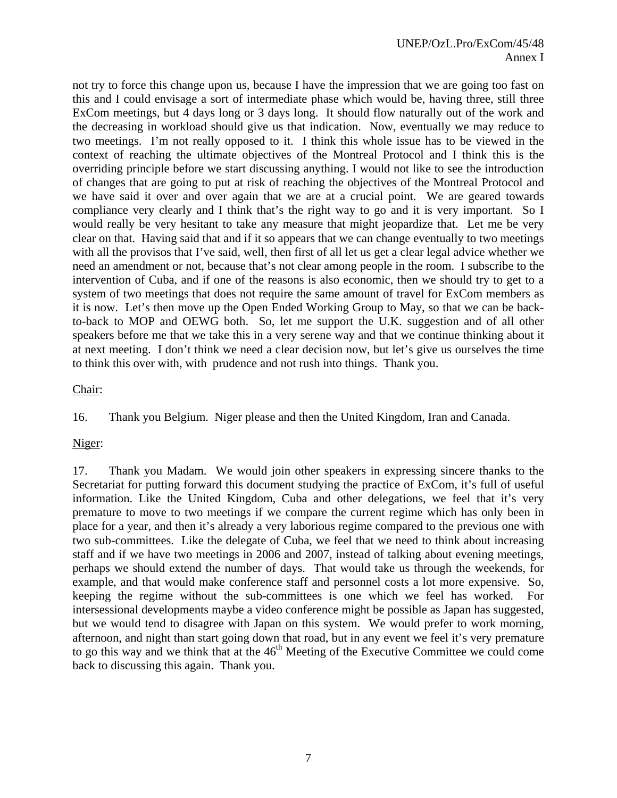not try to force this change upon us, because I have the impression that we are going too fast on this and I could envisage a sort of intermediate phase which would be, having three, still three ExCom meetings, but 4 days long or 3 days long. It should flow naturally out of the work and the decreasing in workload should give us that indication. Now, eventually we may reduce to two meetings. I'm not really opposed to it. I think this whole issue has to be viewed in the context of reaching the ultimate objectives of the Montreal Protocol and I think this is the overriding principle before we start discussing anything. I would not like to see the introduction of changes that are going to put at risk of reaching the objectives of the Montreal Protocol and we have said it over and over again that we are at a crucial point. We are geared towards compliance very clearly and I think that's the right way to go and it is very important. So I would really be very hesitant to take any measure that might jeopardize that. Let me be very clear on that. Having said that and if it so appears that we can change eventually to two meetings with all the provisos that I've said, well, then first of all let us get a clear legal advice whether we need an amendment or not, because that's not clear among people in the room. I subscribe to the intervention of Cuba, and if one of the reasons is also economic, then we should try to get to a system of two meetings that does not require the same amount of travel for ExCom members as it is now. Let's then move up the Open Ended Working Group to May, so that we can be backto-back to MOP and OEWG both. So, let me support the U.K. suggestion and of all other speakers before me that we take this in a very serene way and that we continue thinking about it at next meeting. I don't think we need a clear decision now, but let's give us ourselves the time to think this over with, with prudence and not rush into things. Thank you.

## Chair:

16. Thank you Belgium. Niger please and then the United Kingdom, Iran and Canada.

Niger:

17. Thank you Madam. We would join other speakers in expressing sincere thanks to the Secretariat for putting forward this document studying the practice of ExCom, it's full of useful information. Like the United Kingdom, Cuba and other delegations, we feel that it's very premature to move to two meetings if we compare the current regime which has only been in place for a year, and then it's already a very laborious regime compared to the previous one with two sub-committees. Like the delegate of Cuba, we feel that we need to think about increasing staff and if we have two meetings in 2006 and 2007, instead of talking about evening meetings, perhaps we should extend the number of days. That would take us through the weekends, for example, and that would make conference staff and personnel costs a lot more expensive. So, keeping the regime without the sub-committees is one which we feel has worked. For intersessional developments maybe a video conference might be possible as Japan has suggested, but we would tend to disagree with Japan on this system. We would prefer to work morning, afternoon, and night than start going down that road, but in any event we feel it's very premature to go this way and we think that at the  $46<sup>th</sup>$  Meeting of the Executive Committee we could come back to discussing this again. Thank you.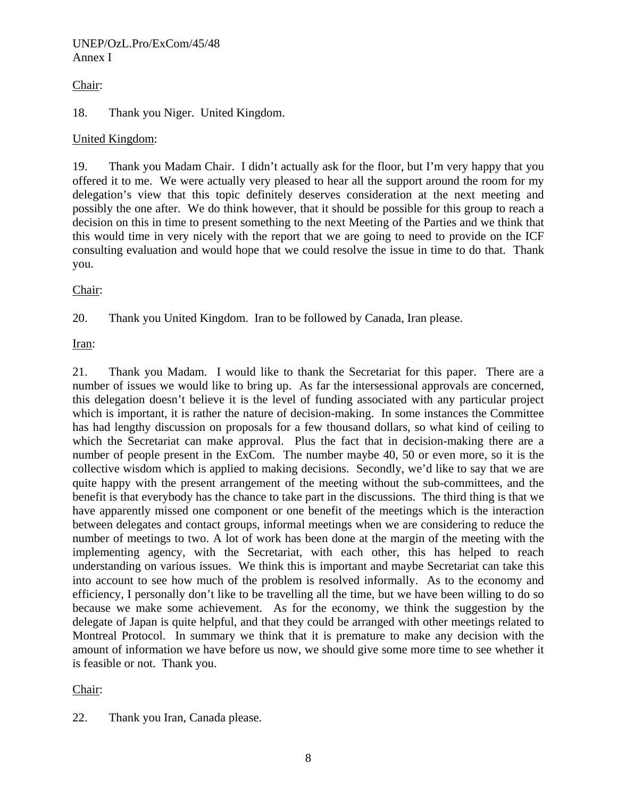# Chair:

# 18. Thank you Niger. United Kingdom.

# United Kingdom:

19. Thank you Madam Chair. I didn't actually ask for the floor, but I'm very happy that you offered it to me. We were actually very pleased to hear all the support around the room for my delegation's view that this topic definitely deserves consideration at the next meeting and possibly the one after. We do think however, that it should be possible for this group to reach a decision on this in time to present something to the next Meeting of the Parties and we think that this would time in very nicely with the report that we are going to need to provide on the ICF consulting evaluation and would hope that we could resolve the issue in time to do that. Thank you.

Chair:

20. Thank you United Kingdom. Iran to be followed by Canada, Iran please.

Iran:

21. Thank you Madam. I would like to thank the Secretariat for this paper. There are a number of issues we would like to bring up. As far the intersessional approvals are concerned, this delegation doesn't believe it is the level of funding associated with any particular project which is important, it is rather the nature of decision-making. In some instances the Committee has had lengthy discussion on proposals for a few thousand dollars, so what kind of ceiling to which the Secretariat can make approval. Plus the fact that in decision-making there are a number of people present in the ExCom. The number maybe 40, 50 or even more, so it is the collective wisdom which is applied to making decisions. Secondly, we'd like to say that we are quite happy with the present arrangement of the meeting without the sub-committees, and the benefit is that everybody has the chance to take part in the discussions. The third thing is that we have apparently missed one component or one benefit of the meetings which is the interaction between delegates and contact groups, informal meetings when we are considering to reduce the number of meetings to two. A lot of work has been done at the margin of the meeting with the implementing agency, with the Secretariat, with each other, this has helped to reach understanding on various issues. We think this is important and maybe Secretariat can take this into account to see how much of the problem is resolved informally. As to the economy and efficiency, I personally don't like to be travelling all the time, but we have been willing to do so because we make some achievement. As for the economy, we think the suggestion by the delegate of Japan is quite helpful, and that they could be arranged with other meetings related to Montreal Protocol. In summary we think that it is premature to make any decision with the amount of information we have before us now, we should give some more time to see whether it is feasible or not. Thank you.

Chair:

22. Thank you Iran, Canada please.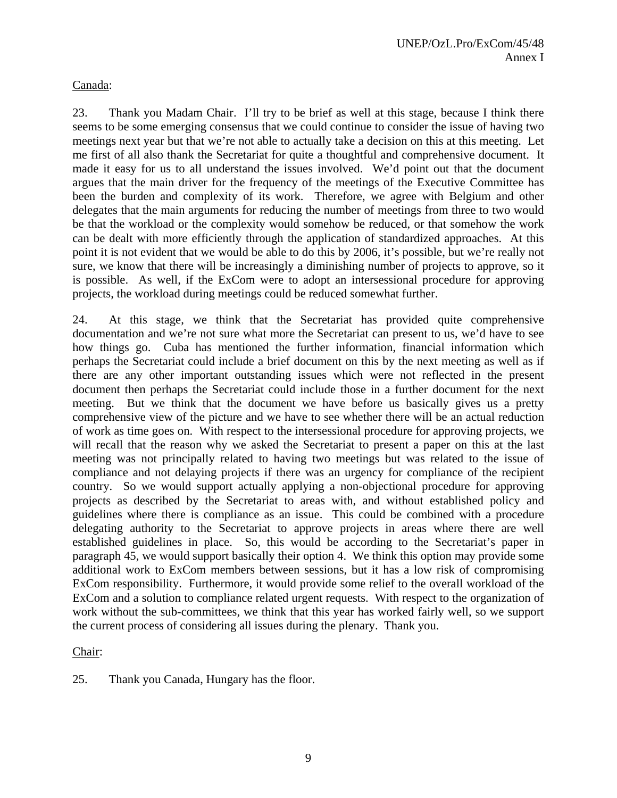## Canada:

23. Thank you Madam Chair. I'll try to be brief as well at this stage, because I think there seems to be some emerging consensus that we could continue to consider the issue of having two meetings next year but that we're not able to actually take a decision on this at this meeting. Let me first of all also thank the Secretariat for quite a thoughtful and comprehensive document. It made it easy for us to all understand the issues involved. We'd point out that the document argues that the main driver for the frequency of the meetings of the Executive Committee has been the burden and complexity of its work. Therefore, we agree with Belgium and other delegates that the main arguments for reducing the number of meetings from three to two would be that the workload or the complexity would somehow be reduced, or that somehow the work can be dealt with more efficiently through the application of standardized approaches. At this point it is not evident that we would be able to do this by 2006, it's possible, but we're really not sure, we know that there will be increasingly a diminishing number of projects to approve, so it is possible. As well, if the ExCom were to adopt an intersessional procedure for approving projects, the workload during meetings could be reduced somewhat further.

24. At this stage, we think that the Secretariat has provided quite comprehensive documentation and we're not sure what more the Secretariat can present to us, we'd have to see how things go. Cuba has mentioned the further information, financial information which perhaps the Secretariat could include a brief document on this by the next meeting as well as if there are any other important outstanding issues which were not reflected in the present document then perhaps the Secretariat could include those in a further document for the next meeting. But we think that the document we have before us basically gives us a pretty comprehensive view of the picture and we have to see whether there will be an actual reduction of work as time goes on. With respect to the intersessional procedure for approving projects, we will recall that the reason why we asked the Secretariat to present a paper on this at the last meeting was not principally related to having two meetings but was related to the issue of compliance and not delaying projects if there was an urgency for compliance of the recipient country. So we would support actually applying a non-objectional procedure for approving projects as described by the Secretariat to areas with, and without established policy and guidelines where there is compliance as an issue. This could be combined with a procedure delegating authority to the Secretariat to approve projects in areas where there are well established guidelines in place. So, this would be according to the Secretariat's paper in paragraph 45, we would support basically their option 4. We think this option may provide some additional work to ExCom members between sessions, but it has a low risk of compromising ExCom responsibility. Furthermore, it would provide some relief to the overall workload of the ExCom and a solution to compliance related urgent requests. With respect to the organization of work without the sub-committees, we think that this year has worked fairly well, so we support the current process of considering all issues during the plenary. Thank you.

## Chair:

25. Thank you Canada, Hungary has the floor.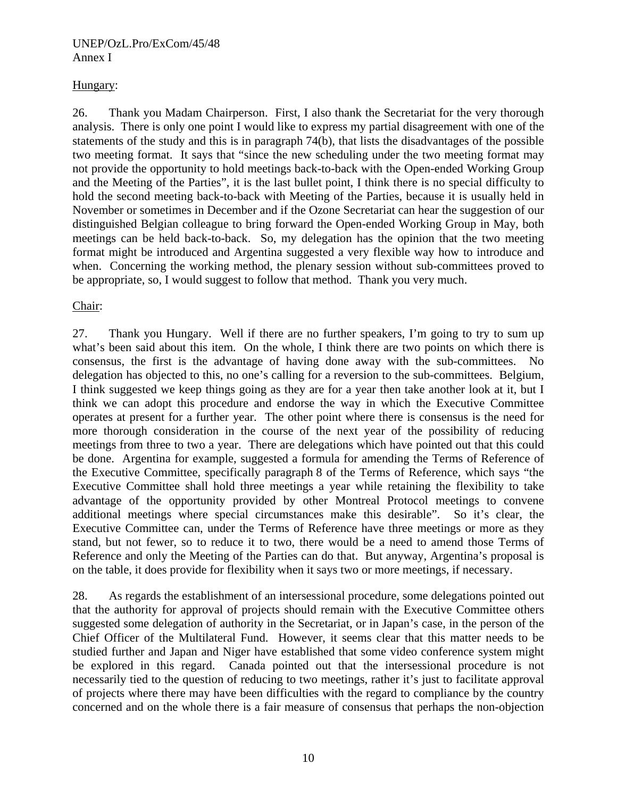## Hungary:

26. Thank you Madam Chairperson. First, I also thank the Secretariat for the very thorough analysis. There is only one point I would like to express my partial disagreement with one of the statements of the study and this is in paragraph 74(b), that lists the disadvantages of the possible two meeting format. It says that "since the new scheduling under the two meeting format may not provide the opportunity to hold meetings back-to-back with the Open-ended Working Group and the Meeting of the Parties", it is the last bullet point, I think there is no special difficulty to hold the second meeting back-to-back with Meeting of the Parties, because it is usually held in November or sometimes in December and if the Ozone Secretariat can hear the suggestion of our distinguished Belgian colleague to bring forward the Open-ended Working Group in May, both meetings can be held back-to-back. So, my delegation has the opinion that the two meeting format might be introduced and Argentina suggested a very flexible way how to introduce and when. Concerning the working method, the plenary session without sub-committees proved to be appropriate, so, I would suggest to follow that method. Thank you very much.

## Chair:

27. Thank you Hungary. Well if there are no further speakers, I'm going to try to sum up what's been said about this item. On the whole, I think there are two points on which there is consensus, the first is the advantage of having done away with the sub-committees. No delegation has objected to this, no one's calling for a reversion to the sub-committees. Belgium, I think suggested we keep things going as they are for a year then take another look at it, but I think we can adopt this procedure and endorse the way in which the Executive Committee operates at present for a further year. The other point where there is consensus is the need for more thorough consideration in the course of the next year of the possibility of reducing meetings from three to two a year. There are delegations which have pointed out that this could be done. Argentina for example, suggested a formula for amending the Terms of Reference of the Executive Committee, specifically paragraph 8 of the Terms of Reference, which says "the Executive Committee shall hold three meetings a year while retaining the flexibility to take advantage of the opportunity provided by other Montreal Protocol meetings to convene additional meetings where special circumstances make this desirable". So it's clear, the Executive Committee can, under the Terms of Reference have three meetings or more as they stand, but not fewer, so to reduce it to two, there would be a need to amend those Terms of Reference and only the Meeting of the Parties can do that. But anyway, Argentina's proposal is on the table, it does provide for flexibility when it says two or more meetings, if necessary.

28. As regards the establishment of an intersessional procedure, some delegations pointed out that the authority for approval of projects should remain with the Executive Committee others suggested some delegation of authority in the Secretariat, or in Japan's case, in the person of the Chief Officer of the Multilateral Fund. However, it seems clear that this matter needs to be studied further and Japan and Niger have established that some video conference system might be explored in this regard. Canada pointed out that the intersessional procedure is not necessarily tied to the question of reducing to two meetings, rather it's just to facilitate approval of projects where there may have been difficulties with the regard to compliance by the country concerned and on the whole there is a fair measure of consensus that perhaps the non-objection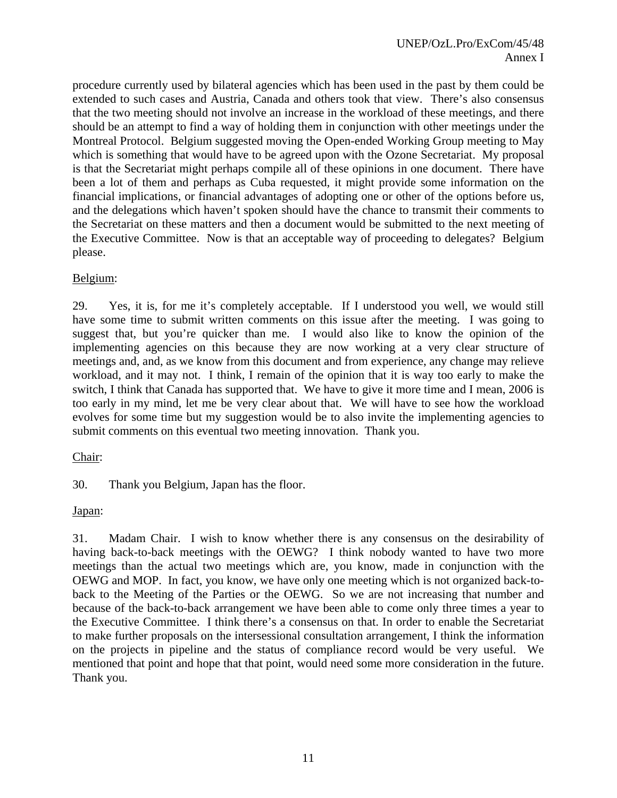procedure currently used by bilateral agencies which has been used in the past by them could be extended to such cases and Austria, Canada and others took that view. There's also consensus that the two meeting should not involve an increase in the workload of these meetings, and there should be an attempt to find a way of holding them in conjunction with other meetings under the Montreal Protocol. Belgium suggested moving the Open-ended Working Group meeting to May which is something that would have to be agreed upon with the Ozone Secretariat. My proposal is that the Secretariat might perhaps compile all of these opinions in one document. There have been a lot of them and perhaps as Cuba requested, it might provide some information on the financial implications, or financial advantages of adopting one or other of the options before us, and the delegations which haven't spoken should have the chance to transmit their comments to the Secretariat on these matters and then a document would be submitted to the next meeting of the Executive Committee. Now is that an acceptable way of proceeding to delegates? Belgium please.

## Belgium:

29. Yes, it is, for me it's completely acceptable. If I understood you well, we would still have some time to submit written comments on this issue after the meeting. I was going to suggest that, but you're quicker than me. I would also like to know the opinion of the implementing agencies on this because they are now working at a very clear structure of meetings and, and, as we know from this document and from experience, any change may relieve workload, and it may not. I think, I remain of the opinion that it is way too early to make the switch, I think that Canada has supported that. We have to give it more time and I mean, 2006 is too early in my mind, let me be very clear about that. We will have to see how the workload evolves for some time but my suggestion would be to also invite the implementing agencies to submit comments on this eventual two meeting innovation. Thank you.

## Chair:

30. Thank you Belgium, Japan has the floor.

## Japan:

31. Madam Chair. I wish to know whether there is any consensus on the desirability of having back-to-back meetings with the OEWG? I think nobody wanted to have two more meetings than the actual two meetings which are, you know, made in conjunction with the OEWG and MOP. In fact, you know, we have only one meeting which is not organized back-toback to the Meeting of the Parties or the OEWG. So we are not increasing that number and because of the back-to-back arrangement we have been able to come only three times a year to the Executive Committee. I think there's a consensus on that. In order to enable the Secretariat to make further proposals on the intersessional consultation arrangement, I think the information on the projects in pipeline and the status of compliance record would be very useful. We mentioned that point and hope that that point, would need some more consideration in the future. Thank you.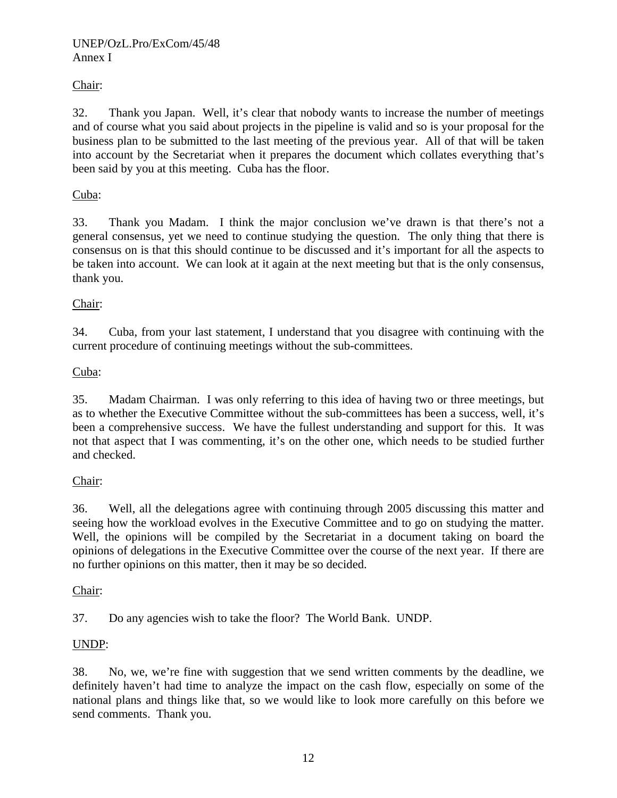# Chair:

32. Thank you Japan. Well, it's clear that nobody wants to increase the number of meetings and of course what you said about projects in the pipeline is valid and so is your proposal for the business plan to be submitted to the last meeting of the previous year. All of that will be taken into account by the Secretariat when it prepares the document which collates everything that's been said by you at this meeting. Cuba has the floor.

# Cuba:

33. Thank you Madam. I think the major conclusion we've drawn is that there's not a general consensus, yet we need to continue studying the question. The only thing that there is consensus on is that this should continue to be discussed and it's important for all the aspects to be taken into account. We can look at it again at the next meeting but that is the only consensus, thank you.

# Chair:

34. Cuba, from your last statement, I understand that you disagree with continuing with the current procedure of continuing meetings without the sub-committees.

# Cuba:

35. Madam Chairman. I was only referring to this idea of having two or three meetings, but as to whether the Executive Committee without the sub-committees has been a success, well, it's been a comprehensive success. We have the fullest understanding and support for this. It was not that aspect that I was commenting, it's on the other one, which needs to be studied further and checked.

# Chair:

36. Well, all the delegations agree with continuing through 2005 discussing this matter and seeing how the workload evolves in the Executive Committee and to go on studying the matter. Well, the opinions will be compiled by the Secretariat in a document taking on board the opinions of delegations in the Executive Committee over the course of the next year. If there are no further opinions on this matter, then it may be so decided.

# Chair:

37. Do any agencies wish to take the floor? The World Bank. UNDP.

# UNDP:

38. No, we, we're fine with suggestion that we send written comments by the deadline, we definitely haven't had time to analyze the impact on the cash flow, especially on some of the national plans and things like that, so we would like to look more carefully on this before we send comments. Thank you.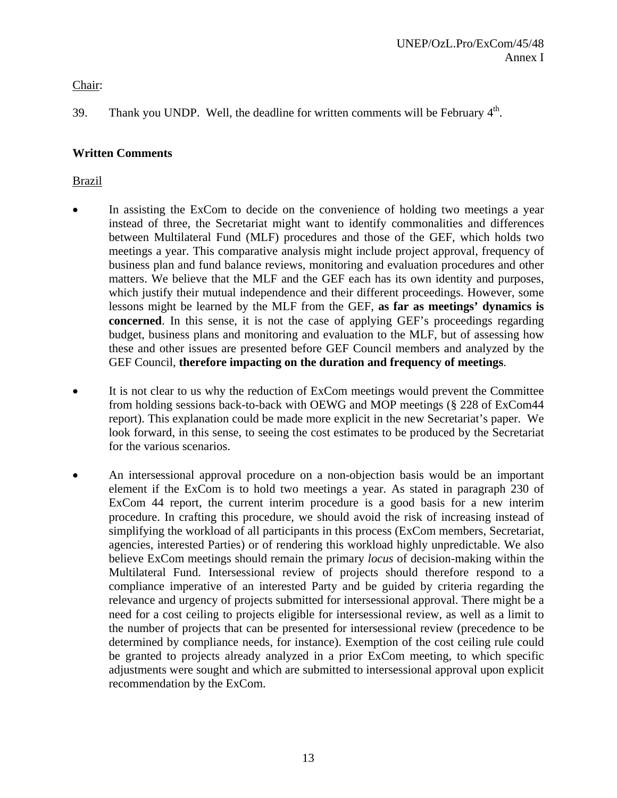Chair:

39. Thank you UNDP. Well, the deadline for written comments will be February  $4<sup>th</sup>$ .

# **Written Comments**

# Brazil

- In assisting the ExCom to decide on the convenience of holding two meetings a year instead of three, the Secretariat might want to identify commonalities and differences between Multilateral Fund (MLF) procedures and those of the GEF, which holds two meetings a year. This comparative analysis might include project approval, frequency of business plan and fund balance reviews, monitoring and evaluation procedures and other matters. We believe that the MLF and the GEF each has its own identity and purposes, which justify their mutual independence and their different proceedings. However, some lessons might be learned by the MLF from the GEF, **as far as meetings' dynamics is concerned**. In this sense, it is not the case of applying GEF's proceedings regarding budget, business plans and monitoring and evaluation to the MLF, but of assessing how these and other issues are presented before GEF Council members and analyzed by the GEF Council, **therefore impacting on the duration and frequency of meetings**.
- It is not clear to us why the reduction of ExCom meetings would prevent the Committee from holding sessions back-to-back with OEWG and MOP meetings (§ 228 of ExCom44 report). This explanation could be made more explicit in the new Secretariat's paper. We look forward, in this sense, to seeing the cost estimates to be produced by the Secretariat for the various scenarios.
- An intersessional approval procedure on a non-objection basis would be an important element if the ExCom is to hold two meetings a year. As stated in paragraph 230 of ExCom 44 report, the current interim procedure is a good basis for a new interim procedure. In crafting this procedure, we should avoid the risk of increasing instead of simplifying the workload of all participants in this process (ExCom members, Secretariat, agencies, interested Parties) or of rendering this workload highly unpredictable. We also believe ExCom meetings should remain the primary *locus* of decision-making within the Multilateral Fund. Intersessional review of projects should therefore respond to a compliance imperative of an interested Party and be guided by criteria regarding the relevance and urgency of projects submitted for intersessional approval. There might be a need for a cost ceiling to projects eligible for intersessional review, as well as a limit to the number of projects that can be presented for intersessional review (precedence to be determined by compliance needs, for instance). Exemption of the cost ceiling rule could be granted to projects already analyzed in a prior ExCom meeting, to which specific adjustments were sought and which are submitted to intersessional approval upon explicit recommendation by the ExCom.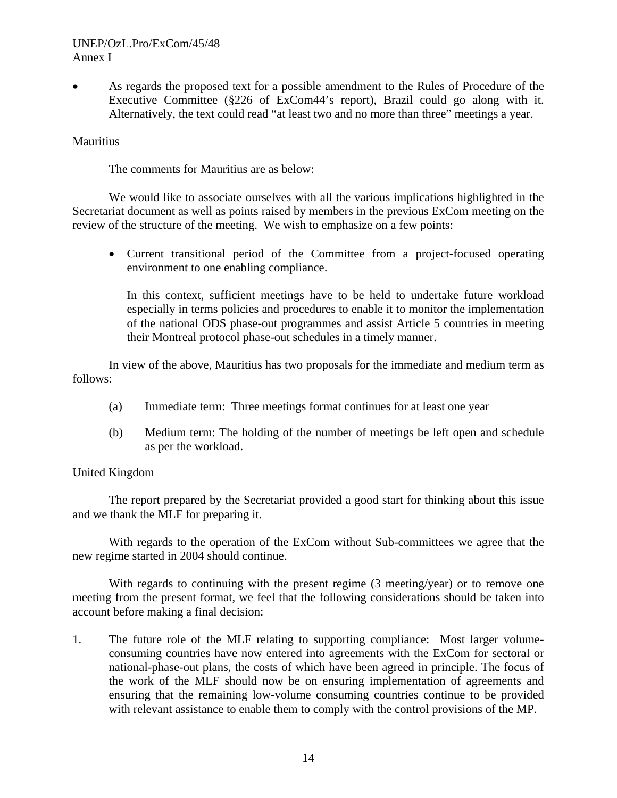• As regards the proposed text for a possible amendment to the Rules of Procedure of the Executive Committee (§226 of ExCom44's report), Brazil could go along with it. Alternatively, the text could read "at least two and no more than three" meetings a year.

#### Mauritius

The comments for Mauritius are as below:

 We would like to associate ourselves with all the various implications highlighted in the Secretariat document as well as points raised by members in the previous ExCom meeting on the review of the structure of the meeting. We wish to emphasize on a few points:

• Current transitional period of the Committee from a project-focused operating environment to one enabling compliance.

In this context, sufficient meetings have to be held to undertake future workload especially in terms policies and procedures to enable it to monitor the implementation of the national ODS phase-out programmes and assist Article 5 countries in meeting their Montreal protocol phase-out schedules in a timely manner.

 In view of the above, Mauritius has two proposals for the immediate and medium term as follows:

- (a) Immediate term: Three meetings format continues for at least one year
- (b) Medium term: The holding of the number of meetings be left open and schedule as per the workload.

## United Kingdom

The report prepared by the Secretariat provided a good start for thinking about this issue and we thank the MLF for preparing it.

With regards to the operation of the ExCom without Sub-committees we agree that the new regime started in 2004 should continue.

With regards to continuing with the present regime (3 meeting/year) or to remove one meeting from the present format, we feel that the following considerations should be taken into account before making a final decision:

1. The future role of the MLF relating to supporting compliance: Most larger volumeconsuming countries have now entered into agreements with the ExCom for sectoral or national-phase-out plans, the costs of which have been agreed in principle. The focus of the work of the MLF should now be on ensuring implementation of agreements and ensuring that the remaining low-volume consuming countries continue to be provided with relevant assistance to enable them to comply with the control provisions of the MP.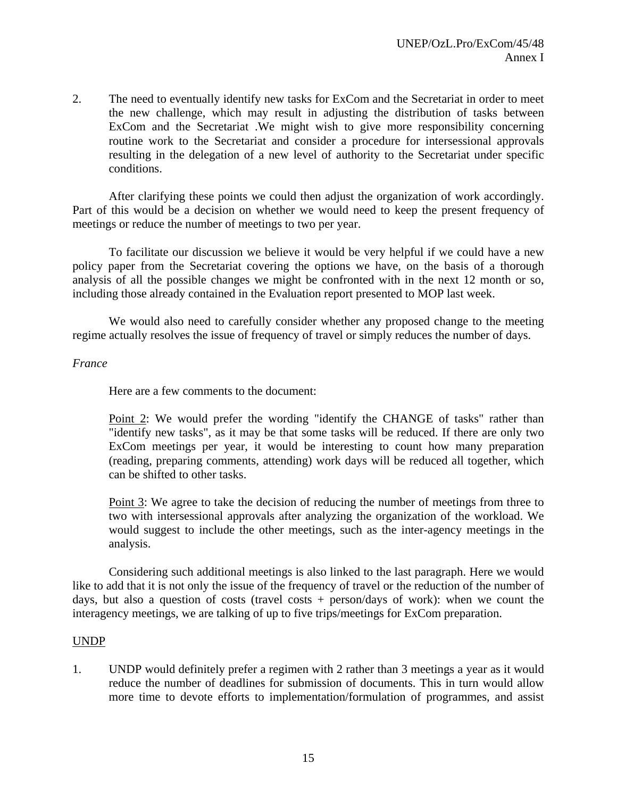2. The need to eventually identify new tasks for ExCom and the Secretariat in order to meet the new challenge, which may result in adjusting the distribution of tasks between ExCom and the Secretariat .We might wish to give more responsibility concerning routine work to the Secretariat and consider a procedure for intersessional approvals resulting in the delegation of a new level of authority to the Secretariat under specific conditions.

After clarifying these points we could then adjust the organization of work accordingly. Part of this would be a decision on whether we would need to keep the present frequency of meetings or reduce the number of meetings to two per year.

To facilitate our discussion we believe it would be very helpful if we could have a new policy paper from the Secretariat covering the options we have, on the basis of a thorough analysis of all the possible changes we might be confronted with in the next 12 month or so, including those already contained in the Evaluation report presented to MOP last week.

We would also need to carefully consider whether any proposed change to the meeting regime actually resolves the issue of frequency of travel or simply reduces the number of days.

## *France*

Here are a few comments to the document:

Point 2: We would prefer the wording "identify the CHANGE of tasks" rather than "identify new tasks", as it may be that some tasks will be reduced. If there are only two ExCom meetings per year, it would be interesting to count how many preparation (reading, preparing comments, attending) work days will be reduced all together, which can be shifted to other tasks.

Point 3: We agree to take the decision of reducing the number of meetings from three to two with intersessional approvals after analyzing the organization of the workload. We would suggest to include the other meetings, such as the inter-agency meetings in the analysis.

Considering such additional meetings is also linked to the last paragraph. Here we would like to add that it is not only the issue of the frequency of travel or the reduction of the number of days, but also a question of costs (travel costs  $+$  person/days of work): when we count the interagency meetings, we are talking of up to five trips/meetings for ExCom preparation.

## UNDP

1. UNDP would definitely prefer a regimen with 2 rather than 3 meetings a year as it would reduce the number of deadlines for submission of documents. This in turn would allow more time to devote efforts to implementation/formulation of programmes, and assist